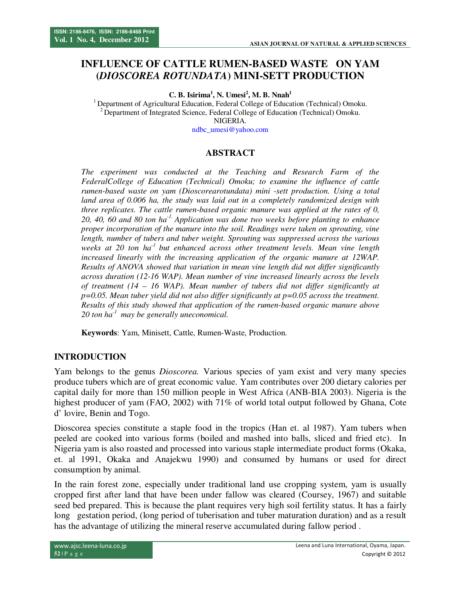# **INFLUENCE OF CATTLE RUMEN-BASED WASTE ON YAM (***DIOSCOREA ROTUNDATA***) MINI-SETT PRODUCTION**

**C. B. Isirima<sup>1</sup> , N. Umesi<sup>2</sup> , M. B. Nnah<sup>1</sup>**

 $1$  Department of Agricultural Education, Federal College of Education (Technical) Omoku.  $2$  Department of Integrated Science, Federal College of Education (Technical) Omoku. NIGERIA.

ndbc\_umesi@yahoo.com

# **ABSTRACT**

*The experiment was conducted at the Teaching and Research Farm of the FederalCollege of Education (Technical) Omoku; to examine the influence of cattle rumen-based waste on yam (Dioscorearotundata) mini -sett production. Using a total*  land area of 0.006 ha, the study was laid out in a completely randomized design with *three replicates. The cattle rumen-based organic manure was applied at the rates of 0, 20, 40, 60 and 80 ton ha-1. Application was done two weeks before planting to enhance proper incorporation of the manure into the soil. Readings were taken on sprouting, vine length, number of tubers and tuber weight. Sprouting was suppressed across the various weeks at 20 ton ha-1 but enhanced across other treatment levels. Mean vine length increased linearly with the increasing application of the organic manure at 12WAP. Results of ANOVA showed that variation in mean vine length did not differ significantly across duration (12-16 WAP). Mean number of vine increased linearly across the levels of treatment (14 – 16 WAP). Mean number of tubers did not differ significantly at p=0.05. Mean tuber yield did not also differ significantly at p=0.05 across the treatment. Results of this study showed that application of the rumen-based organic manure above 20 ton ha-1 may be generally uneconomical.* 

**Keywords**: Yam, Minisett, Cattle, Rumen-Waste, Production.

#### **INTRODUCTION**

Yam belongs to the genus *Dioscorea.* Various species of yam exist and very many species produce tubers which are of great economic value. Yam contributes over 200 dietary calories per capital daily for more than 150 million people in West Africa (ANB-BIA 2003). Nigeria is the highest producer of yam (FAO, 2002) with 71% of world total output followed by Ghana, Cote d' lovire, Benin and Togo.

Dioscorea species constitute a staple food in the tropics (Han et. al 1987). Yam tubers when peeled are cooked into various forms (boiled and mashed into balls, sliced and fried etc). In Nigeria yam is also roasted and processed into various staple intermediate product forms (Okaka, et. al 1991, Okaka and Anajekwu 1990) and consumed by humans or used for direct consumption by animal.

In the rain forest zone, especially under traditional land use cropping system, yam is usually cropped first after land that have been under fallow was cleared (Coursey, 1967) and suitable seed bed prepared. This is because the plant requires very high soil fertility status. It has a fairly long gestation period, (long period of tuberisation and tuber maturation duration) and as a result has the advantage of utilizing the mineral reserve accumulated during fallow period .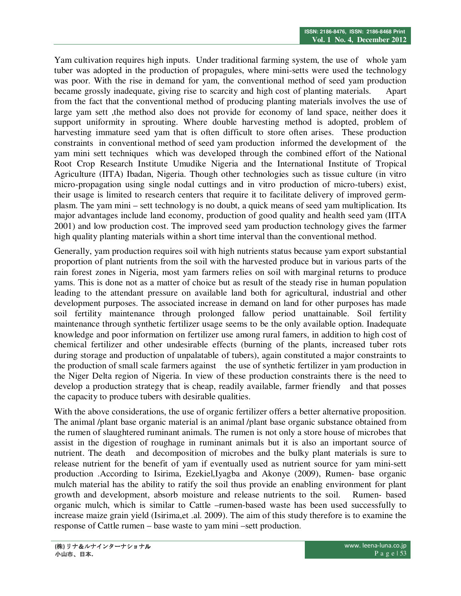Yam cultivation requires high inputs. Under traditional farming system, the use of whole yam tuber was adopted in the production of propagules, where mini-setts were used the technology was poor. With the rise in demand for yam, the conventional method of seed yam production became grossly inadequate, giving rise to scarcity and high cost of planting materials. Apart from the fact that the conventional method of producing planting materials involves the use of large yam sett ,the method also does not provide for economy of land space, neither does it support uniformity in sprouting. Where double harvesting method is adopted, problem of harvesting immature seed yam that is often difficult to store often arises. These production constraints in conventional method of seed yam production informed the development of the yam mini sett techniques which was developed through the combined effort of the National Root Crop Research Institute Umudike Nigeria and the International Institute of Tropical Agriculture (IITA) Ibadan, Nigeria. Though other technologies such as tissue culture (in vitro micro-propagation using single nodal cuttings and in vitro production of micro-tubers) exist, their usage is limited to research centers that require it to facilitate delivery of improved germplasm. The yam mini – sett technology is no doubt, a quick means of seed yam multiplication. Its major advantages include land economy, production of good quality and health seed yam (IITA 2001) and low production cost. The improved seed yam production technology gives the farmer high quality planting materials within a short time interval than the conventional method.

Generally, yam production requires soil with high nutrients status because yam export substantial proportion of plant nutrients from the soil with the harvested produce but in various parts of the rain forest zones in Nigeria, most yam farmers relies on soil with marginal returns to produce yams. This is done not as a matter of choice but as result of the steady rise in human population leading to the attendant pressure on available land both for agricultural, industrial and other development purposes. The associated increase in demand on land for other purposes has made soil fertility maintenance through prolonged fallow period unattainable. Soil fertility maintenance through synthetic fertilizer usage seems to be the only available option. Inadequate knowledge and poor information on fertilizer use among rural famers, in addition to high cost of chemical fertilizer and other undesirable effects (burning of the plants, increased tuber rots during storage and production of unpalatable of tubers), again constituted a major constraints to the production of small scale farmers against the use of synthetic fertilizer in yam production in the Niger Delta region of Nigeria. In view of these production constraints there is the need to develop a production strategy that is cheap, readily available, farmer friendly and that posses the capacity to produce tubers with desirable qualities.

With the above considerations, the use of organic fertilizer offers a better alternative proposition. The animal /plant base organic material is an animal /plant base organic substance obtained from the rumen of slaughtered ruminant animals. The rumen is not only a store house of microbes that assist in the digestion of roughage in ruminant animals but it is also an important source of nutrient. The death and decomposition of microbes and the bulky plant materials is sure to release nutrient for the benefit of yam if eventually used as nutrient source for yam mini-sett production .According to Isirima, Ezekiel,Iyagba and Akonye (2009), Rumen- base organic mulch material has the ability to ratify the soil thus provide an enabling environment for plant growth and development, absorb moisture and release nutrients to the soil. Rumen- based organic mulch, which is similar to Cattle –rumen-based waste has been used successfully to increase maize grain yield (Isirima,et .al. 2009). The aim of this study therefore is to examine the response of Cattle rumen – base waste to yam mini –sett production.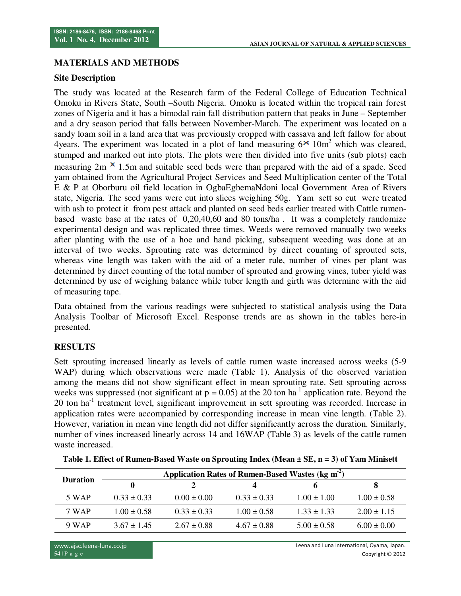# **MATERIALS AND METHODS**

## **Site Description**

The study was located at the Research farm of the Federal College of Education Technical Omoku in Rivers State, South –South Nigeria. Omoku is located within the tropical rain forest zones of Nigeria and it has a bimodal rain fall distribution pattern that peaks in June – September and a dry season period that falls between November-March. The experiment was located on a sandy loam soil in a land area that was previously cropped with cassava and left fallow for about 4 years. The experiment was located in a plot of land measuring  $6 \times 10 \text{m}^2$  which was cleared, stumped and marked out into plots. The plots were then divided into five units (sub plots) each measuring  $2m \times 1.5m$  and suitable seed beds were than prepared with the aid of a spade. Seed yam obtained from the Agricultural Project Services and Seed Multiplication center of the Total E & P at Oborburu oil field location in OgbaEgbemaNdoni local Government Area of Rivers state, Nigeria. The seed yams were cut into slices weighing 50g. Yam sett so cut were treated with ash to protect it from pest attack and planted on seed beds earlier treated with Cattle rumenbased waste base at the rates of 0,20,40,60 and 80 tons/ha . It was a completely randomize experimental design and was replicated three times. Weeds were removed manually two weeks after planting with the use of a hoe and hand picking, subsequent weeding was done at an interval of two weeks. Sprouting rate was determined by direct counting of sprouted sets, whereas vine length was taken with the aid of a meter rule, number of vines per plant was determined by direct counting of the total number of sprouted and growing vines, tuber yield was determined by use of weighing balance while tuber length and girth was determine with the aid of measuring tape.

Data obtained from the various readings were subjected to statistical analysis using the Data Analysis Toolbar of Microsoft Excel. Response trends are as shown in the tables here-in presented.

# **RESULTS**

Sett sprouting increased linearly as levels of cattle rumen waste increased across weeks (5-9 WAP) during which observations were made (Table 1). Analysis of the observed variation among the means did not show significant effect in mean sprouting rate. Sett sprouting across weeks was suppressed (not significant at  $p = 0.05$ ) at the 20 ton ha<sup>-1</sup> application rate. Beyond the 20 ton ha<sup>-1</sup> treatment level, significant improvement in sett sprouting was recorded. Increase in application rates were accompanied by corresponding increase in mean vine length. (Table 2). However, variation in mean vine length did not differ significantly across the duration. Similarly, number of vines increased linearly across 14 and 16WAP (Table 3) as levels of the cattle rumen waste increased.

| <b>Duration</b> | Application Rates of Rumen-Based Wastes (kg m <sup>-2</sup> ) |                 |                 |                 |                 |  |  |
|-----------------|---------------------------------------------------------------|-----------------|-----------------|-----------------|-----------------|--|--|
|                 |                                                               |                 | 4               |                 | 8               |  |  |
| 5 WAP           | $0.33 \pm 0.33$                                               | $0.00 \pm 0.00$ | $0.33 \pm 0.33$ | $1.00 \pm 1.00$ | $1.00 \pm 0.58$ |  |  |
| 7 WAP           | $1.00 \pm 0.58$                                               | $0.33 \pm 0.33$ | $1.00 \pm 0.58$ | $1.33 \pm 1.33$ | $2.00 \pm 1.15$ |  |  |
| 9 WAP           | $3.67 \pm 1.45$                                               | $2.67 \pm 0.88$ | $4.67 \pm 0.88$ | $5.00 \pm 0.58$ | $6.00 \pm 0.00$ |  |  |

**Table 1. Effect of Rumen-Based Waste on Sprouting Index (Mean ± SE, n = 3) of Yam Minisett**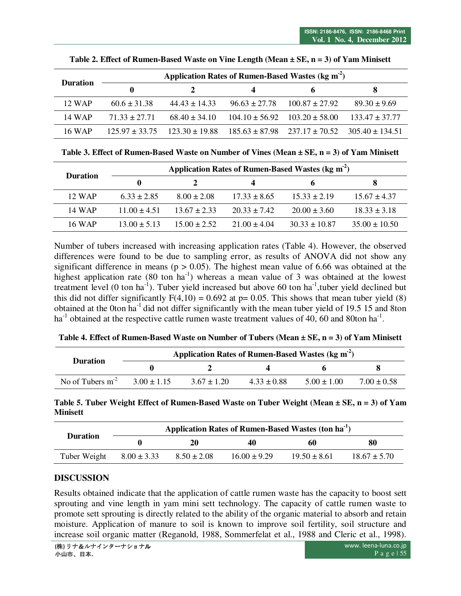| <b>Duration</b> | Application Rates of Rumen-Based Wastes ( $kg \, \text{m}^2$ ) |                                   |                                       |                                                           |                  |  |  |
|-----------------|----------------------------------------------------------------|-----------------------------------|---------------------------------------|-----------------------------------------------------------|------------------|--|--|
|                 | $\mathbf 0$                                                    |                                   |                                       | 6                                                         | x                |  |  |
| 12 WAP          | $60.6 \pm 31.38$                                               | $44.43 + 14.33$                   |                                       | $96.63 \pm 27.78$ $100.87 \pm 27.92$                      | $89.30 \pm 9.69$ |  |  |
| 14 WAP          | $71.33 + 27.71$                                                | $68.40 \pm 34.10$                 | $104.10 \pm 56.92$ $103.20 \pm 58.00$ |                                                           | $133.47 + 37.77$ |  |  |
| 16 WAP          |                                                                | $125.97 + 33.75$ $123.30 + 19.88$ |                                       | $185.63 \pm 87.98$ $237.17 \pm 70.52$ $305.40 \pm 134.51$ |                  |  |  |

**Table 2. Effect of Rumen-Based Waste on Vine Length (Mean ± SE, n = 3) of Yam Minisett** 

| <b>Duration</b> | Application Rates of Rumen-Based Wastes (kg m <sup>-2</sup> ) |                |                  |                  |                   |  |
|-----------------|---------------------------------------------------------------|----------------|------------------|------------------|-------------------|--|
|                 | 0                                                             |                | 4                | 6                | 8                 |  |
| 12 WAP          | $6.33 + 2.85$                                                 | $8.00 + 2.08$  | $17.33 \pm 8.65$ | $15.33 \pm 2.19$ | $15.67 \pm 4.37$  |  |
| 14 WAP          | $11.00 + 4.51$                                                | $13.67 + 2.33$ | $20.33 \pm 7.42$ | $20.00 \pm 3.60$ | $18.33 \pm 3.18$  |  |
| 16 WAP          | $13.00 + 5.13$                                                | $15.00 + 2.52$ | $21.00 \pm 4.04$ | $30.33 + 10.87$  | $35.00 \pm 10.50$ |  |

Number of tubers increased with increasing application rates (Table 4). However, the observed differences were found to be due to sampling error, as results of ANOVA did not show any significant difference in means ( $p > 0.05$ ). The highest mean value of 6.66 was obtained at the highest application rate (80 ton ha<sup>-1</sup>) whereas a mean value of 3 was obtained at the lowest treatment level (0 ton  $ha^{-1}$ ). Tuber yield increased but above 60 ton  $ha^{-1}$ , tuber yield declined but this did not differ significantly  $F(4,10) = 0.692$  at p= 0.05. This shows that mean tuber yield (8) obtained at the 0ton ha<sup>-1</sup> did not differ significantly with the mean tuber yield of 19.5 15 and 8ton ha<sup>-1</sup> obtained at the respective cattle rumen waste treatment values of 40, 60 and 80ton ha<sup>-1</sup>.

| Table 4. Effect of Rumen-Based Waste on Number of Tubers (Mean $\pm$ SE, n = 3) of Yam Minisett |  |  |  |  |
|-------------------------------------------------------------------------------------------------|--|--|--|--|
|-------------------------------------------------------------------------------------------------|--|--|--|--|

|                   | Application Rates of Rumen-Based Wastes ( $kg \, \text{m}^2$ ) |               |                 |               |                 |  |
|-------------------|----------------------------------------------------------------|---------------|-----------------|---------------|-----------------|--|
| <b>Duration</b>   |                                                                |               |                 |               |                 |  |
| No of Tubers $m2$ | $3.00 + 1.15$                                                  | $3.67 + 1.20$ | $4.33 \pm 0.88$ | $5.00 + 1.00$ | $7.00 \pm 0.58$ |  |

**Table 5. Tuber Weight Effect of Rumen-Based Waste on Tuber Weight (Mean ± SE, n = 3) of Yam Minisett** 

| <b>Duration</b> | Application Rates of Rumen-Based Wastes (ton ha <sup>-1</sup> ) |                 |                  |                  |                  |  |
|-----------------|-----------------------------------------------------------------|-----------------|------------------|------------------|------------------|--|
|                 | o                                                               | 20              | 40               | 60               | 80               |  |
| Tuber Weight    | $8.00 \pm 3.33$                                                 | $8.50 \pm 2.08$ | $16.00 \pm 9.29$ | $19.50 \pm 8.61$ | $18.67 \pm 5.70$ |  |

# **DISCUSSION**

Results obtained indicate that the application of cattle rumen waste has the capacity to boost sett sprouting and vine length in yam mini sett technology. The capacity of cattle rumen waste to promote sett sprouting is directly related to the ability of the organic material to absorb and retain moisture. Application of manure to soil is known to improve soil fertility, soil structure and increase soil organic matter (Reganold, 1988, Sommerfelat et al., 1988 and Cleric et al., 1998).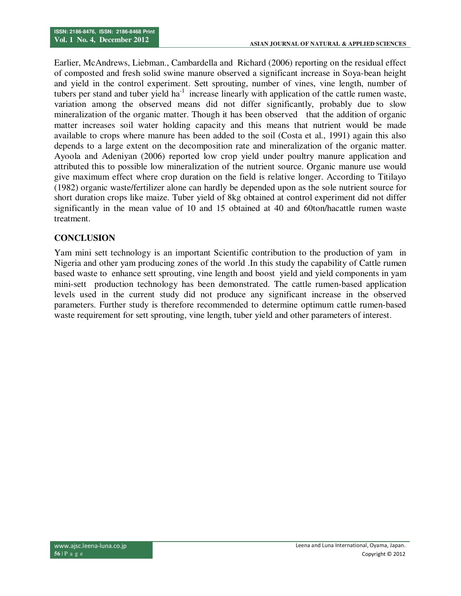Earlier, McAndrews, Liebman., Cambardella and Richard (2006) reporting on the residual effect of composted and fresh solid swine manure observed a significant increase in Soya-bean height and yield in the control experiment. Sett sprouting, number of vines, vine length, number of tubers per stand and tuber yield  $ha^{-1}$  increase linearly with application of the cattle rumen waste, variation among the observed means did not differ significantly, probably due to slow mineralization of the organic matter. Though it has been observed that the addition of organic matter increases soil water holding capacity and this means that nutrient would be made available to crops where manure has been added to the soil (Costa et al., 1991) again this also depends to a large extent on the decomposition rate and mineralization of the organic matter. Ayoola and Adeniyan (2006) reported low crop yield under poultry manure application and attributed this to possible low mineralization of the nutrient source. Organic manure use would give maximum effect where crop duration on the field is relative longer. According to Titilayo (1982) organic waste/fertilizer alone can hardly be depended upon as the sole nutrient source for short duration crops like maize. Tuber yield of 8kg obtained at control experiment did not differ significantly in the mean value of 10 and 15 obtained at 40 and 60ton/hacattle rumen waste treatment.

## **CONCLUSION**

Yam mini sett technology is an important Scientific contribution to the production of yam in Nigeria and other yam producing zones of the world .In this study the capability of Cattle rumen based waste to enhance sett sprouting, vine length and boost yield and yield components in yam mini-sett production technology has been demonstrated. The cattle rumen-based application levels used in the current study did not produce any significant increase in the observed parameters. Further study is therefore recommended to determine optimum cattle rumen-based waste requirement for sett sprouting, vine length, tuber yield and other parameters of interest.